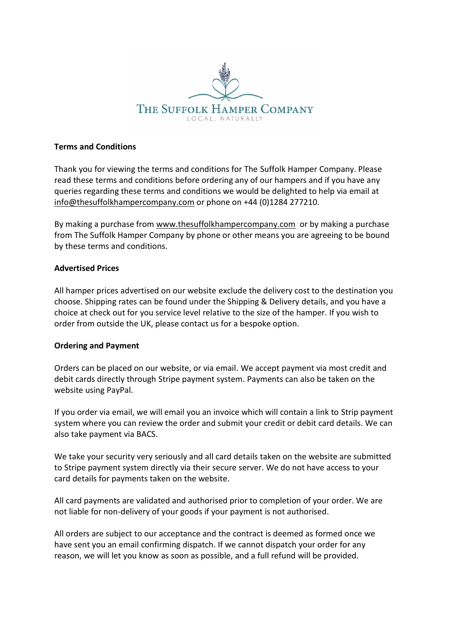

### **Terms and Conditions**

Thank you for viewing the terms and conditions for The Suffolk Hamper Company. Please read these terms and conditions before ordering any of our hampers and if you have any queries regarding these terms and conditions we would be delighted to help via email at [info@thesuffolkhampercompany.com](mailto:info@thesuffolkhampercompany.com) or phone on +44 (0)1284 277210.

By making a purchase from [www.thesuffolkhampercompany.com](http://www.thesuffolkhampercompany.com/) or by making a purchase from The Suffolk Hamper Company by phone or other means you are agreeing to be bound by these terms and conditions.

### **Advertised Prices**

All hamper prices advertised on our website exclude the delivery cost to the destination you choose. Shipping rates can be found under the Shipping & Delivery details, and you have a choice at check out for you service level relative to the size of the hamper. If you wish to order from outside the UK, please contact us for a bespoke option.

# **Ordering and Payment**

Orders can be placed on our website, or via email. We accept payment via most credit and debit cards directly through Stripe payment system. Payments can also be taken on the website using PayPal.

If you order via email, we will email you an invoice which will contain a link to Strip payment system where you can review the order and submit your credit or debit card details. We can also take payment via BACS.

We take your security very seriously and all card details taken on the website are submitted to Stripe payment system directly via their secure server. We do not have access to your card details for payments taken on the website.

All card payments are validated and authorised prior to completion of your order. We are not liable for non-delivery of your goods if your payment is not authorised.

All orders are subject to our acceptance and the contract is deemed as formed once we have sent you an email confirming dispatch. If we cannot dispatch your order for any reason, we will let you know as soon as possible, and a full refund will be provided.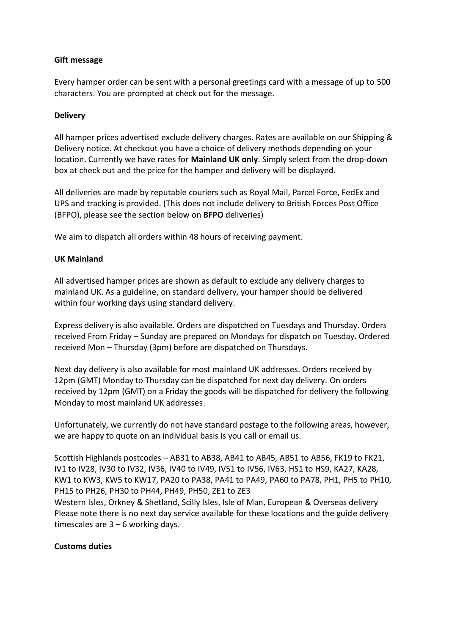### **Gift message**

Every hamper order can be sent with a personal greetings card with a message of up to 500 characters. You are prompted at check out for the message.

### **Delivery**

All hamper prices advertised exclude delivery charges. Rates are available on our Shipping & Delivery notice. At checkout you have a choice of delivery methods depending on your location. Currently we have rates for **Mainland UK only**. Simply select from the drop-down box at check out and the price for the hamper and delivery will be displayed.

All deliveries are made by reputable couriers such as Royal Mail, Parcel Force, FedEx and UPS and tracking is provided. (This does not include delivery to British Forces Post Office (BFPO), please see the section below on **BFPO** deliveries)

We aim to dispatch all orders within 48 hours of receiving payment.

### **UK Mainland**

All advertised hamper prices are shown as default to exclude any delivery charges to mainland UK. As a guideline, on standard delivery, your hamper should be delivered within four working days using standard delivery.

Express delivery is also available. Orders are dispatched on Tuesdays and Thursday. Orders received From Friday – Sunday are prepared on Mondays for dispatch on Tuesday. Ordered received Mon – Thursday (3pm) before are dispatched on Thursdays.

Next day delivery is also available for most mainland UK addresses. Orders received by 12pm (GMT) Monday to Thursday can be dispatched for next day delivery. On orders received by 12pm (GMT) on a Friday the goods will be dispatched for delivery the following Monday to most mainland UK addresses.

Unfortunately, we currently do not have standard postage to the following areas, however, we are happy to quote on an individual basis is you call or email us.

Scottish Highlands postcodes – AB31 to AB38, AB41 to AB45, AB51 to AB56, FK19 to FK21, IV1 to IV28, IV30 to IV32, IV36, IV40 to IV49, IV51 to IV56, IV63, HS1 to HS9, KA27, KA28, KW1 to KW3, KW5 to KW17, PA20 to PA38, PA41 to PA49, PA60 to PA78, PH1, PH5 to PH10, PH15 to PH26, PH30 to PH44, PH49, PH50, ZE1 to ZE3

Western Isles, Orkney & Shetland, Scilly Isles, Isle of Man, European & Overseas delivery Please note there is no next day service available for these locations and the guide delivery timescales are  $3 - 6$  working days.

#### **Customs duties**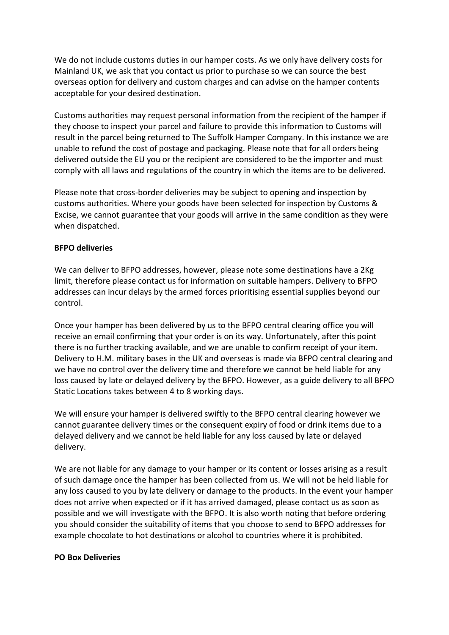We do not include customs duties in our hamper costs. As we only have delivery costs for Mainland UK, we ask that you contact us prior to purchase so we can source the best overseas option for delivery and custom charges and can advise on the hamper contents acceptable for your desired destination.

Customs authorities may request personal information from the recipient of the hamper if they choose to inspect your parcel and failure to provide this information to Customs will result in the parcel being returned to The Suffolk Hamper Company. In this instance we are unable to refund the cost of postage and packaging. Please note that for all orders being delivered outside the EU you or the recipient are considered to be the importer and must comply with all laws and regulations of the country in which the items are to be delivered.

Please note that cross-border deliveries may be subject to opening and inspection by customs authorities. Where your goods have been selected for inspection by Customs & Excise, we cannot guarantee that your goods will arrive in the same condition as they were when dispatched.

#### **BFPO deliveries**

We can deliver to BFPO addresses, however, please note some destinations have a 2Kg limit, therefore please contact us for information on suitable hampers. Delivery to BFPO addresses can incur delays by the armed forces prioritising essential supplies beyond our control.

Once your hamper has been delivered by us to the BFPO central clearing office you will receive an email confirming that your order is on its way. Unfortunately, after this point there is no further tracking available, and we are unable to confirm receipt of your item. Delivery to H.M. military bases in the UK and overseas is made via BFPO central clearing and we have no control over the delivery time and therefore we cannot be held liable for any loss caused by late or delayed delivery by the BFPO. However, as a guide delivery to all BFPO Static Locations takes between 4 to 8 working days.

We will ensure your hamper is delivered swiftly to the BFPO central clearing however we cannot guarantee delivery times or the consequent expiry of food or drink items due to a delayed delivery and we cannot be held liable for any loss caused by late or delayed delivery.

We are not liable for any damage to your hamper or its content or losses arising as a result of such damage once the hamper has been collected from us. We will not be held liable for any loss caused to you by late delivery or damage to the products. In the event your hamper does not arrive when expected or if it has arrived damaged, please contact us as soon as possible and we will investigate with the BFPO. It is also worth noting that before ordering you should consider the suitability of items that you choose to send to BFPO addresses for example chocolate to hot destinations or alcohol to countries where it is prohibited.

#### **PO Box Deliveries**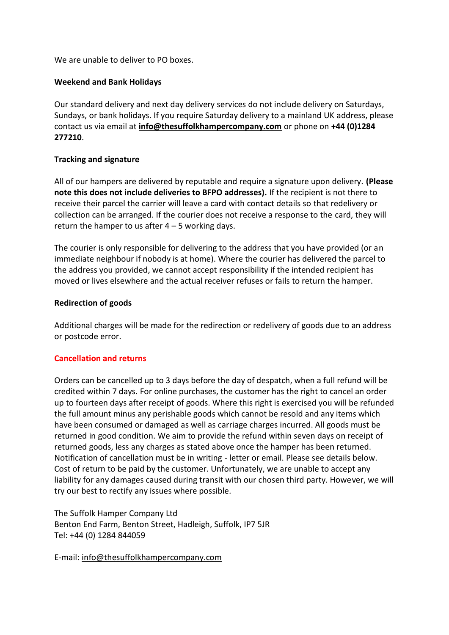We are unable to deliver to PO boxes.

## **Weekend and Bank Holidays**

Our standard delivery and next day delivery services do not include delivery on Saturdays, Sundays, or bank holidays. If you require Saturday delivery to a mainland UK address, please contact us via email at **[info@thesuffolkhampercompany.com](mailto:info@thesuffolkhampercompany.com)** or phone on **+44 (0)1284 277210**.

### **Tracking and signature**

All of our hampers are delivered by reputable and require a signature upon delivery. **(Please note this does not include deliveries to BFPO addresses).** If the recipient is not there to receive their parcel the carrier will leave a card with contact details so that redelivery or collection can be arranged. If the courier does not receive a response to the card, they will return the hamper to us after  $4 - 5$  working days.

The courier is only responsible for delivering to the address that you have provided (or an immediate neighbour if nobody is at home). Where the courier has delivered the parcel to the address you provided, we cannot accept responsibility if the intended recipient has moved or lives elsewhere and the actual receiver refuses or fails to return the hamper.

### **Redirection of goods**

Additional charges will be made for the redirection or redelivery of goods due to an address or postcode error.

#### **Cancellation and returns**

Orders can be cancelled up to 3 days before the day of despatch, when a full refund will be credited within 7 days. For online purchases, the customer has the right to cancel an order up to fourteen days after receipt of goods. Where this right is exercised you will be refunded the full amount minus any perishable goods which cannot be resold and any items which have been consumed or damaged as well as carriage charges incurred. All goods must be returned in good condition. We aim to provide the refund within seven days on receipt of returned goods, less any charges as stated above once the hamper has been returned. Notification of cancellation must be in writing - letter or email. Please see details below. Cost of return to be paid by the customer. Unfortunately, we are unable to accept any liability for any damages caused during transit with our chosen third party. However, we will try our best to rectify any issues where possible.

The Suffolk Hamper Company Ltd Benton End Farm, Benton Street, Hadleigh, Suffolk, IP7 5JR Tel: +44 (0) 1284 844059

E-mail: info@thesuffolkhampercompany.com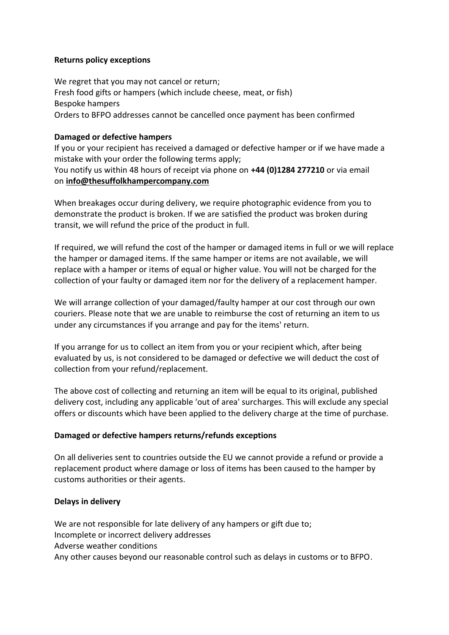### **Returns policy exceptions**

We regret that you may not cancel or return; Fresh food gifts or hampers (which include cheese, meat, or fish) Bespoke hampers Orders to BFPO addresses cannot be cancelled once payment has been confirmed

## **Damaged or defective hampers**

If you or your recipient has received a damaged or defective hamper or if we have made a mistake with your order the following terms apply; You notify us within 48 hours of receipt via phone on **+44 (0)1284 277210** or via email on **[info@thesuffolkhampercompany.com](mailto:sales@britishhamper.com)**

When breakages occur during delivery, we require photographic evidence from you to demonstrate the product is broken. If we are satisfied the product was broken during transit, we will refund the price of the product in full.

If required, we will refund the cost of the hamper or damaged items in full or we will replace the hamper or damaged items. If the same hamper or items are not available, we will replace with a hamper or items of equal or higher value. You will not be charged for the collection of your faulty or damaged item nor for the delivery of a replacement hamper.

We will arrange collection of your damaged/faulty hamper at our cost through our own couriers. Please note that we are unable to reimburse the cost of returning an item to us under any circumstances if you arrange and pay for the items' return.

If you arrange for us to collect an item from you or your recipient which, after being evaluated by us, is not considered to be damaged or defective we will deduct the cost of collection from your refund/replacement.

The above cost of collecting and returning an item will be equal to its original, published delivery cost, including any applicable 'out of area' surcharges. This will exclude any special offers or discounts which have been applied to the delivery charge at the time of purchase.

# **Damaged or defective hampers returns/refunds exceptions**

On all deliveries sent to countries outside the EU we cannot provide a refund or provide a replacement product where damage or loss of items has been caused to the hamper by customs authorities or their agents.

# **Delays in delivery**

We are not responsible for late delivery of any hampers or gift due to; Incomplete or incorrect delivery addresses Adverse weather conditions Any other causes beyond our reasonable control such as delays in customs or to BFPO.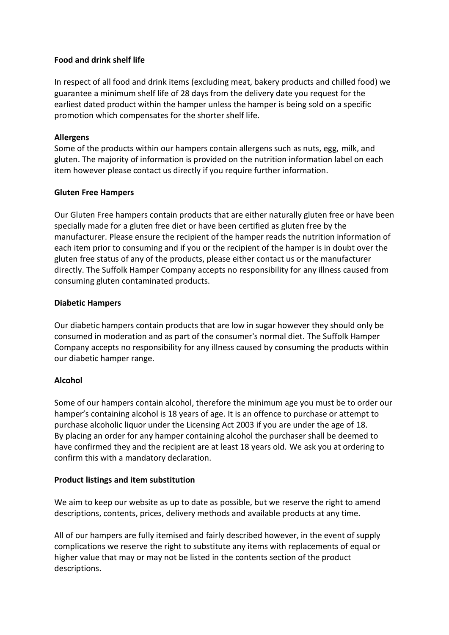## **Food and drink shelf life**

In respect of all food and drink items (excluding meat, bakery products and chilled food) we guarantee a minimum shelf life of 28 days from the delivery date you request for the earliest dated product within the hamper unless the hamper is being sold on a specific promotion which compensates for the shorter shelf life.

### **Allergens**

Some of the products within our hampers contain allergens such as nuts, egg, milk, and gluten. The majority of information is provided on the nutrition information label on each item however please contact us directly if you require further information.

### **Gluten Free Hampers**

Our Gluten Free hampers contain products that are either naturally gluten free or have been specially made for a gluten free diet or have been certified as gluten free by the manufacturer. Please ensure the recipient of the hamper reads the nutrition information of each item prior to consuming and if you or the recipient of the hamper is in doubt over the gluten free status of any of the products, please either contact us or the manufacturer directly. The Suffolk Hamper Company accepts no responsibility for any illness caused from consuming gluten contaminated products.

### **Diabetic Hampers**

Our diabetic hampers contain products that are low in sugar however they should only be consumed in moderation and as part of the consumer's normal diet. The Suffolk Hamper Company accepts no responsibility for any illness caused by consuming the products within our diabetic hamper range.

# **Alcohol**

Some of our hampers contain alcohol, therefore the minimum age you must be to order our hamper's containing alcohol is 18 years of age. It is an offence to purchase or attempt to purchase alcoholic liquor under the Licensing Act 2003 if you are under the age of 18. By placing an order for any hamper containing alcohol the purchaser shall be deemed to have confirmed they and the recipient are at least 18 years old. We ask you at ordering to confirm this with a mandatory declaration.

# **Product listings and item substitution**

We aim to keep our website as up to date as possible, but we reserve the right to amend descriptions, contents, prices, delivery methods and available products at any time.

All of our hampers are fully itemised and fairly described however, in the event of supply complications we reserve the right to substitute any items with replacements of equal or higher value that may or may not be listed in the contents section of the product descriptions.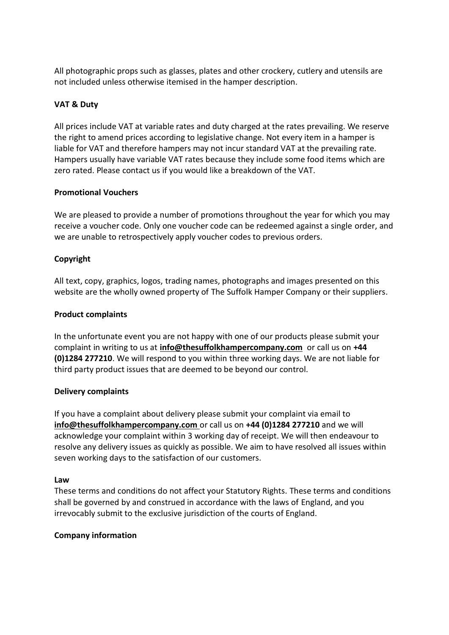All photographic props such as glasses, plates and other crockery, cutlery and utensils are not included unless otherwise itemised in the hamper description.

## **VAT & Duty**

All prices include VAT at variable rates and duty charged at the rates prevailing. We reserve the right to amend prices according to legislative change. Not every item in a hamper is liable for VAT and therefore hampers may not incur standard VAT at the prevailing rate. Hampers usually have variable VAT rates because they include some food items which are zero rated. Please contact us if you would like a breakdown of the VAT.

#### **Promotional Vouchers**

We are pleased to provide a number of promotions throughout the year for which you may receive a voucher code. Only one voucher code can be redeemed against a single order, and we are unable to retrospectively apply voucher codes to previous orders.

# **Copyright**

All text, copy, graphics, logos, trading names, photographs and images presented on this website are the wholly owned property of The Suffolk Hamper Company or their suppliers.

### **Product complaints**

In the unfortunate event you are not happy with one of our products please submit your complaint in writing to us at **[info@thesuffolkhampercompany.com](mailto:sales@britishhamper.com)** or call us on **+44 (0)1284 277210**. We will respond to you within three working days. We are not liable for third party product issues that are deemed to be beyond our control.

#### **Delivery complaints**

If you have a complaint about delivery please submit your complaint via email to **[info@thesuffolkhampercompany.com](mailto:sales@britishhamper.com)** or call us on **+44 (0)1284 277210** and we will acknowledge your complaint within 3 working day of receipt. We will then endeavour to resolve any delivery issues as quickly as possible. We aim to have resolved all issues within seven working days to the satisfaction of our customers.

#### **Law**

These terms and conditions do not affect your Statutory Rights. These terms and conditions shall be governed by and construed in accordance with the laws of England, and you irrevocably submit to the exclusive jurisdiction of the courts of England.

#### **Company information**